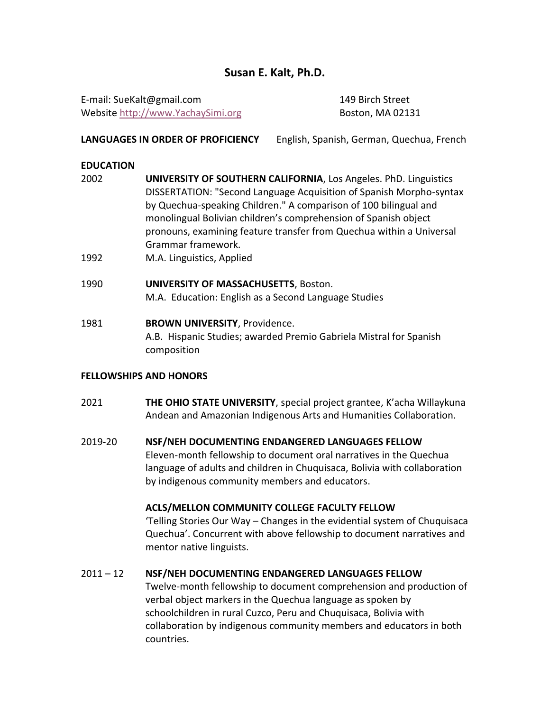# **Susan E. Kalt, Ph.D.**

E-mail: SueKalt@gmail.com 149 Birch Street Website [http://www.YachaySimi.org](http://www.yachaysimi.org/) Boston, MA 02131

# **LANGUAGES IN ORDER OF PROFICIENCY** English, Spanish, German, Quechua, French

# **EDUCATION**

- 2002 **UNIVERSITY OF SOUTHERN CALIFORNIA**, Los Angeles. PhD. Linguistics DISSERTATION: "Second Language Acquisition of Spanish Morpho-syntax by Quechua-speaking Children." A comparison of 100 bilingual and monolingual Bolivian children's comprehension of Spanish object pronouns, examining feature transfer from Quechua within a Universal Grammar framework.
- 1992 M.A. Linguistics, Applied
- 1990 **UNIVERSITY OF MASSACHUSETTS**, Boston. M.A. Education: English as a Second Language Studies
- 1981 **BROWN UNIVERSITY**, Providence. A.B. Hispanic Studies; awarded Premio Gabriela Mistral for Spanish composition

# **FELLOWSHIPS AND HONORS**

- 2021 **THE OHIO STATE UNIVERSITY**, special project grantee, K'acha Willaykuna Andean and Amazonian Indigenous Arts and Humanities Collaboration.
- 2019-20 **NSF/NEH DOCUMENTING ENDANGERED LANGUAGES FELLOW** Eleven-month fellowship to document oral narratives in the Quechua language of adults and children in Chuquisaca, Bolivia with collaboration by indigenous community members and educators.

# **ACLS/MELLON COMMUNITY COLLEGE FACULTY FELLOW**

'Telling Stories Our Way – Changes in the evidential system of Chuquisaca Quechua'. Concurrent with above fellowship to document narratives and mentor native linguists.

# 2011 – 12 **NSF/NEH DOCUMENTING ENDANGERED LANGUAGES FELLOW**

Twelve-month fellowship to document comprehension and production of verbal object markers in the Quechua language as spoken by schoolchildren in rural Cuzco, Peru and Chuquisaca, Bolivia with collaboration by indigenous community members and educators in both countries.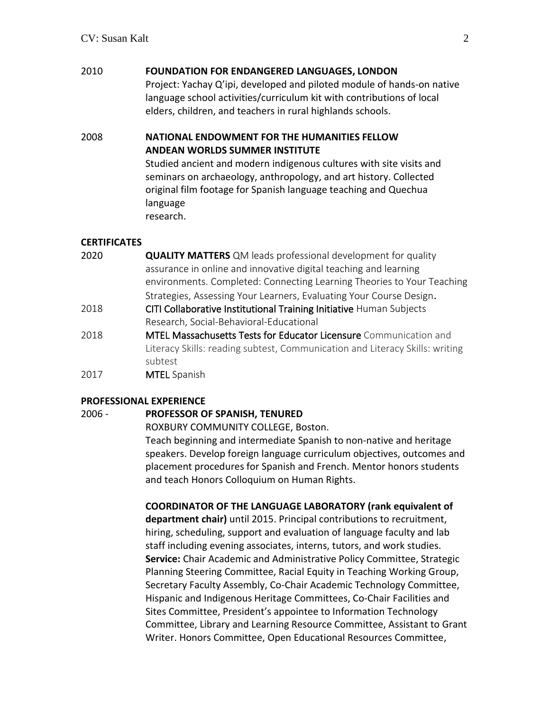# 2010 **FOUNDATION FOR ENDANGERED LANGUAGES, LONDON**

Project: Yachay Q'ipi, developed and piloted module of hands-on native language school activities/curriculum kit with contributions of local elders, children, and teachers in rural highlands schools.

2008 **NATIONAL ENDOWMENT FOR THE HUMANITIES FELLOW ANDEAN WORLDS SUMMER INSTITUTE**

> Studied ancient and modern indigenous cultures with site visits and seminars on archaeology, anthropology, and art history. Collected original film footage for Spanish language teaching and Quechua language research.

# **CERTIFICATES**

- 2020 **QUALITY MATTERS** QM leads professional development for quality assurance in online and innovative digital teaching and learning environments. Completed: Connecting Learning Theories to Your Teaching Strategies, Assessing Your Learners, Evaluating Your Course Design.
- 2018 CITI Collaborative Institutional Training Initiative Human Subjects Research, Social-Behavioral-Educational
- 2018 **MTEL Massachusetts Tests for Educator Licensure** Communication and Literacy Skills: reading subtest, Communication and Literacy Skills: writing subtest
- 2017 MTEL Spanish

# **PROFESSIONAL EXPERIENCE**

# 2006 - **PROFESSOR OF SPANISH, TENURED**

ROXBURY COMMUNITY COLLEGE, Boston. Teach beginning and intermediate Spanish to non-native and heritage speakers. Develop foreign language curriculum objectives, outcomes and placement procedures for Spanish and French. Mentor honors students and teach Honors Colloquium on Human Rights.

**COORDINATOR OF THE LANGUAGE LABORATORY (rank equivalent of department chair)** until 2015. Principal contributions to recruitment, hiring, scheduling, support and evaluation of language faculty and lab staff including evening associates, interns, tutors, and work studies. **Service:** Chair Academic and Administrative Policy Committee, Strategic Planning Steering Committee, Racial Equity in Teaching Working Group, Secretary Faculty Assembly, Co-Chair Academic Technology Committee, Hispanic and Indigenous Heritage Committees, Co-Chair Facilities and Sites Committee, President's appointee to Information Technology Committee, Library and Learning Resource Committee, Assistant to Grant Writer. Honors Committee, Open Educational Resources Committee,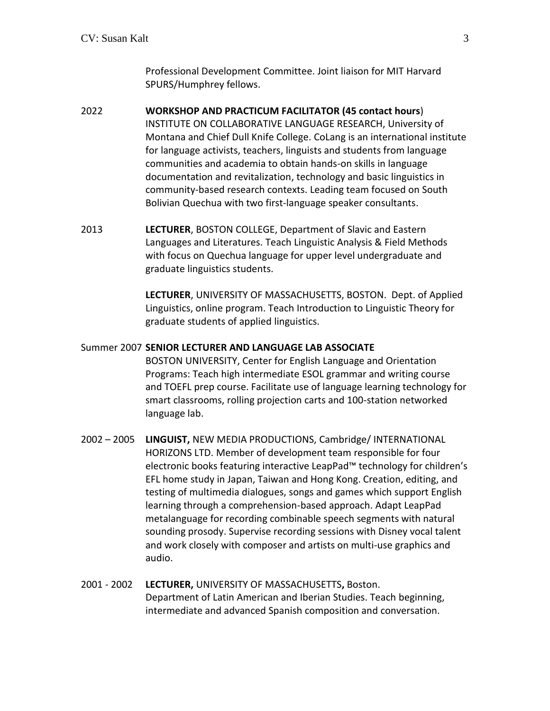Professional Development Committee. Joint liaison for MIT Harvard SPURS/Humphrey fellows.

- 2022 **WORKSHOP AND PRACTICUM FACILITATOR (45 contact hours**) INSTITUTE ON COLLABORATIVE LANGUAGE RESEARCH, University of Montana and Chief Dull Knife College. CoLang is an international institute for language activists, teachers, linguists and students from language communities and academia to obtain hands-on skills in language documentation and revitalization, technology and basic linguistics in community-based research contexts. Leading team focused on South Bolivian Quechua with two first-language speaker consultants.
- 2013 **LECTURER**, BOSTON COLLEGE, Department of Slavic and Eastern Languages and Literatures. Teach Linguistic Analysis & Field Methods with focus on Quechua language for upper level undergraduate and graduate linguistics students.

**LECTURER**, UNIVERSITY OF MASSACHUSETTS, BOSTON. Dept. of Applied Linguistics, online program. Teach Introduction to Linguistic Theory for graduate students of applied linguistics.

#### Summer 2007 **SENIOR LECTURER AND LANGUAGE LAB ASSOCIATE**

BOSTON UNIVERSITY, Center for English Language and Orientation Programs: Teach high intermediate ESOL grammar and writing course and TOEFL prep course. Facilitate use of language learning technology for smart classrooms, rolling projection carts and 100-station networked language lab.

- 2002 2005 **LINGUIST,** NEW MEDIA PRODUCTIONS, Cambridge/ INTERNATIONAL HORIZONS LTD. Member of development team responsible for four electronic books featuring interactive LeapPad™ technology for children's EFL home study in Japan, Taiwan and Hong Kong. Creation, editing, and testing of multimedia dialogues, songs and games which support English learning through a comprehension-based approach. Adapt LeapPad metalanguage for recording combinable speech segments with natural sounding prosody. Supervise recording sessions with Disney vocal talent and work closely with composer and artists on multi-use graphics and audio.
- 2001 2002 **LECTURER,** UNIVERSITY OF MASSACHUSETTS**,** Boston. Department of Latin American and Iberian Studies. Teach beginning, intermediate and advanced Spanish composition and conversation.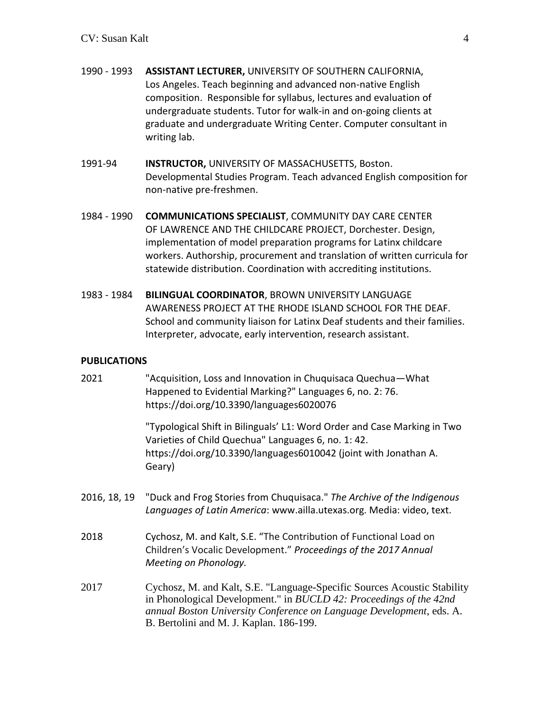- 1990 1993 **ASSISTANT LECTURER,** UNIVERSITY OF SOUTHERN CALIFORNIA, Los Angeles. Teach beginning and advanced non-native English composition. Responsible for syllabus, lectures and evaluation of undergraduate students. Tutor for walk-in and on-going clients at graduate and undergraduate Writing Center. Computer consultant in writing lab.
- 1991-94 **INSTRUCTOR,** UNIVERSITY OF MASSACHUSETTS, Boston. Developmental Studies Program. Teach advanced English composition for non-native pre-freshmen.
- 1984 1990 **COMMUNICATIONS SPECIALIST**, COMMUNITY DAY CARE CENTER OF LAWRENCE AND THE CHILDCARE PROJECT, Dorchester. Design, implementation of model preparation programs for Latinx childcare workers. Authorship, procurement and translation of written curricula for statewide distribution. Coordination with accrediting institutions.
- 1983 1984 **BILINGUAL COORDINATOR**, BROWN UNIVERSITY LANGUAGE AWARENESS PROJECT AT THE RHODE ISLAND SCHOOL FOR THE DEAF. School and community liaison for Latinx Deaf students and their families. Interpreter, advocate, early intervention, research assistant.

# **PUBLICATIONS**

| 2021         | "Acquisition, Loss and Innovation in Chuquisaca Quechua-What<br>Happened to Evidential Marking?" Languages 6, no. 2: 76.<br>https://doi.org/10.3390/languages6020076                                                                                              |
|--------------|-------------------------------------------------------------------------------------------------------------------------------------------------------------------------------------------------------------------------------------------------------------------|
|              | "Typological Shift in Bilinguals' L1: Word Order and Case Marking in Two<br>Varieties of Child Quechua" Languages 6, no. 1: 42.<br>https://doi.org/10.3390/languages6010042 (joint with Jonathan A.<br>Geary)                                                     |
| 2016, 18, 19 | "Duck and Frog Stories from Chuquisaca." The Archive of the Indigenous<br>Languages of Latin America: www.ailla.utexas.org. Media: video, text.                                                                                                                   |
| 2018         | Cychosz, M. and Kalt, S.E. "The Contribution of Functional Load on<br>Children's Vocalic Development." Proceedings of the 2017 Annual<br>Meeting on Phonology.                                                                                                    |
| 2017         | Cychosz, M. and Kalt, S.E. "Language-Specific Sources Acoustic Stability<br>in Phonological Development." in BUCLD 42: Proceedings of the 42nd<br>annual Boston University Conference on Language Development, eds. A.<br>B. Bertolini and M. J. Kaplan. 186-199. |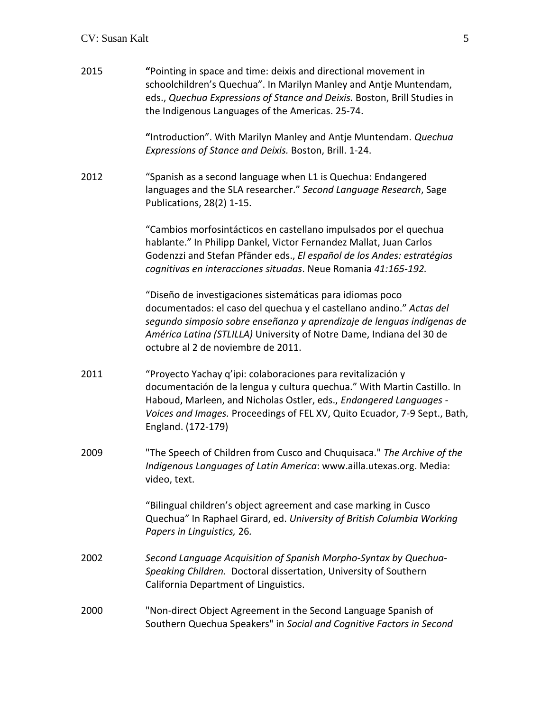# CV: Susan Kalt 5

| 2015 | "Pointing in space and time: deixis and directional movement in<br>schoolchildren's Quechua". In Marilyn Manley and Antje Muntendam,<br>eds., Quechua Expressions of Stance and Deixis. Boston, Brill Studies in<br>the Indigenous Languages of the Americas. 25-74.                                                      |
|------|---------------------------------------------------------------------------------------------------------------------------------------------------------------------------------------------------------------------------------------------------------------------------------------------------------------------------|
|      | "Introduction". With Marilyn Manley and Antje Muntendam. Quechua<br>Expressions of Stance and Deixis. Boston, Brill. 1-24.                                                                                                                                                                                                |
| 2012 | "Spanish as a second language when L1 is Quechua: Endangered<br>languages and the SLA researcher." Second Language Research, Sage<br>Publications, 28(2) 1-15.                                                                                                                                                            |
|      | "Cambios morfosintácticos en castellano impulsados por el quechua<br>hablante." In Philipp Dankel, Victor Fernandez Mallat, Juan Carlos<br>Godenzzi and Stefan Pfänder eds., El español de los Andes: estratégias<br>cognitivas en interacciones situadas. Neue Romania 41:165-192.                                       |
|      | "Diseño de investigaciones sistemáticas para idiomas poco<br>documentados: el caso del quechua y el castellano andino." Actas del<br>segundo simposio sobre enseñanza y aprendizaje de lenguas indígenas de<br>América Latina (STLILLA) University of Notre Dame, Indiana del 30 de<br>octubre al 2 de noviembre de 2011. |
| 2011 | "Proyecto Yachay q'ipi: colaboraciones para revitalización y<br>documentación de la lengua y cultura quechua." With Martin Castillo. In<br>Haboud, Marleen, and Nicholas Ostler, eds., Endangered Languages -<br>Voices and Images. Proceedings of FEL XV, Quito Ecuador, 7-9 Sept., Bath,<br>England. (172-179)          |
| 2009 | "The Speech of Children from Cusco and Chuquisaca." The Archive of the<br>Indigenous Languages of Latin America: www.ailla.utexas.org. Media:<br>video, text.                                                                                                                                                             |
|      | "Bilingual children's object agreement and case marking in Cusco<br>Quechua" In Raphael Girard, ed. University of British Columbia Working<br>Papers in Linguistics, 26.                                                                                                                                                  |
| 2002 | Second Language Acquisition of Spanish Morpho-Syntax by Quechua-<br>Speaking Children. Doctoral dissertation, University of Southern<br>California Department of Linguistics.                                                                                                                                             |
| 2000 | "Non-direct Object Agreement in the Second Language Spanish of<br>Southern Quechua Speakers" in Social and Cognitive Factors in Second                                                                                                                                                                                    |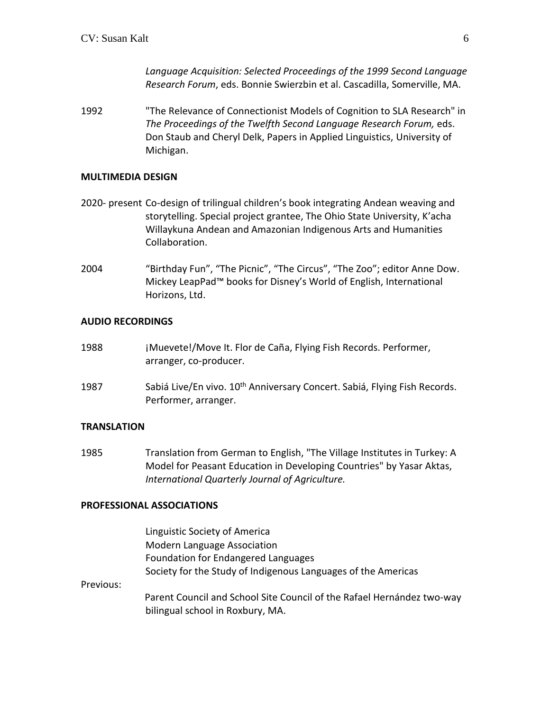*Language Acquisition: Selected Proceedings of the 1999 Second Language Research Forum*, eds. Bonnie Swierzbin et al. Cascadilla, Somerville, MA.

1992 "The Relevance of Connectionist Models of Cognition to SLA Research" in *The Proceedings of the Twelfth Second Language Research Forum,* eds. Don Staub and Cheryl Delk, Papers in Applied Linguistics, University of Michigan.

### **MULTIMEDIA DESIGN**

- 2020- present Co-design of trilingual children's book integrating Andean weaving and storytelling. Special project grantee, The Ohio State University, K'acha Willaykuna Andean and Amazonian Indigenous Arts and Humanities Collaboration.
- 2004 "Birthday Fun", "The Picnic", "The Circus", "The Zoo"; editor Anne Dow. Mickey LeapPad™ books for Disney's World of English, International Horizons, Ltd.

### **AUDIO RECORDINGS**

- 1988 ¡Muevete!/Move It. Flor de Caña, Flying Fish Records. Performer, arranger, co-producer.
- 1987 Sabiá Live/En vivo. 10<sup>th</sup> Anniversary Concert. Sabiá, Flying Fish Records. Performer, arranger.

# **TRANSLATION**

1985 Translation from German to English, "The Village Institutes in Turkey: A Model for Peasant Education in Developing Countries" by Yasar Aktas, *International Quarterly Journal of Agriculture.*

#### **PROFESSIONAL ASSOCIATIONS**

|           | Linguistic Society of America                                                                              |
|-----------|------------------------------------------------------------------------------------------------------------|
|           | <b>Modern Language Association</b>                                                                         |
|           | Foundation for Endangered Languages                                                                        |
|           | Society for the Study of Indigenous Languages of the Americas                                              |
| Previous: |                                                                                                            |
|           | Parent Council and School Site Council of the Rafael Hernández two-way<br>bilingual school in Roxbury, MA. |